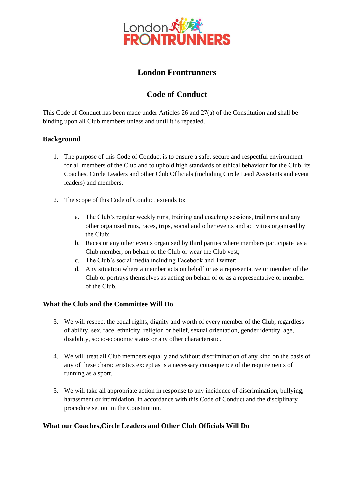

## **London Frontrunners**

# **Code of Conduct**

This Code of Conduct has been made under Articles 26 and 27(a) of the Constitution and shall be binding upon all Club members unless and until it is repealed.

## **Background**

- 1. The purpose of this Code of Conduct is to ensure a safe, secure and respectful environment for all members of the Club and to uphold high standards of ethical behaviour for the Club, its Coaches, Circle Leaders and other Club Officials (including Circle Lead Assistants and event leaders) and members.
- 2. The scope of this Code of Conduct extends to:
	- a. The Club's regular weekly runs, training and coaching sessions, trail runs and any other organised runs, races, trips, social and other events and activities organised by the Club;
	- b. Races or any other events organised by third parties where members participate as a Club member, on behalf of the Club or wear the Club vest;
	- c. The Club's social media including Facebook and Twitter;
	- d. Any situation where a member acts on behalf or as a representative or member of the Club or portrays themselves as acting on behalf of or as a representative or member of the Club.

## **What the Club and the Committee Will Do**

- 3. We will respect the equal rights, dignity and worth of every member of the Club, regardless of ability, sex, race, ethnicity, religion or belief, sexual orientation, gender identity, age, disability, socio-economic status or any other characteristic.
- 4. We will treat all Club members equally and without discrimination of any kind on the basis of any of these characteristics except as is a necessary consequence of the requirements of running as a sport.
- 5. We will take all appropriate action in response to any incidence of discrimination, bullying, harassment or intimidation, in accordance with this Code of Conduct and the disciplinary procedure set out in the Constitution.

## **What our Coaches,Circle Leaders and Other Club Officials Will Do**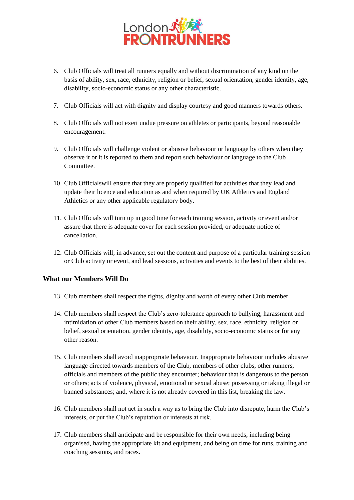

- 6. Club Officials will treat all runners equally and without discrimination of any kind on the basis of ability, sex, race, ethnicity, religion or belief, sexual orientation, gender identity, age, disability, socio-economic status or any other characteristic.
- 7. Club Officials will act with dignity and display courtesy and good manners towards others.
- 8. Club Officials will not exert undue pressure on athletes or participants, beyond reasonable encouragement.
- 9. Club Officials will challenge violent or abusive behaviour or language by others when they observe it or it is reported to them and report such behaviour or language to the Club Committee.
- 10. Club Officialswill ensure that they are properly qualified for activities that they lead and update their licence and education as and when required by UK Athletics and England Athletics or any other applicable regulatory body.
- 11. Club Officials will turn up in good time for each training session, activity or event and/or assure that there is adequate cover for each session provided, or adequate notice of cancellation.
- 12. Club Officials will, in advance, set out the content and purpose of a particular training session or Club activity or event, and lead sessions, activities and events to the best of their abilities.

#### **What our Members Will Do**

- 13. Club members shall respect the rights, dignity and worth of every other Club member.
- 14. Club members shall respect the Club's zero-tolerance approach to bullying, harassment and intimidation of other Club members based on their ability, sex, race, ethnicity, religion or belief, sexual orientation, gender identity, age, disability, socio-economic status or for any other reason.
- 15. Club members shall avoid inappropriate behaviour. Inappropriate behaviour includes abusive language directed towards members of the Club, members of other clubs, other runners, officials and members of the public they encounter; behaviour that is dangerous to the person or others; acts of violence, physical, emotional or sexual abuse; possessing or taking illegal or banned substances; and, where it is not already covered in this list, breaking the law.
- 16. Club members shall not act in such a way as to bring the Club into disrepute, harm the Club's interests, or put the Club's reputation or interests at risk.
- 17. Club members shall anticipate and be responsible for their own needs, including being organised, having the appropriate kit and equipment, and being on time for runs, training and coaching sessions, and races.